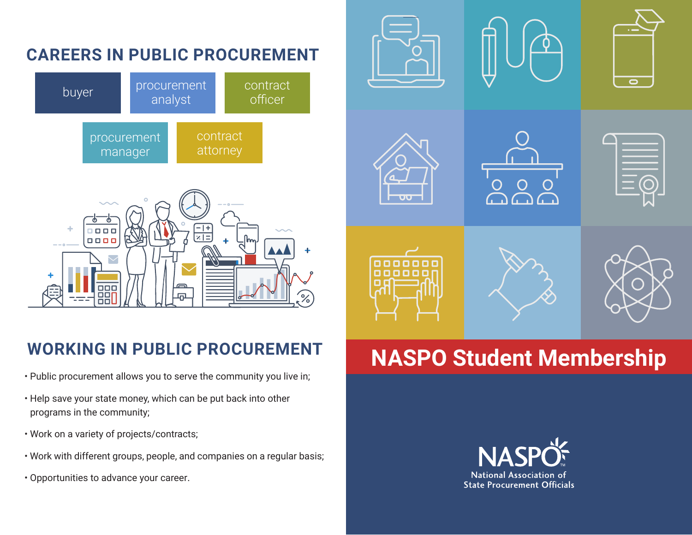

- Public procurement allows you to serve the community you live in;
- Help save your state money, which can be put back into other programs in the community;
- Work on a variety of projects/contracts;
- Work with different groups, people, and companies on a regular basis;
- Opportunities to advance your career.



## WORKING IN PUBLIC PROCUREMENT **NASPO Student Membership**